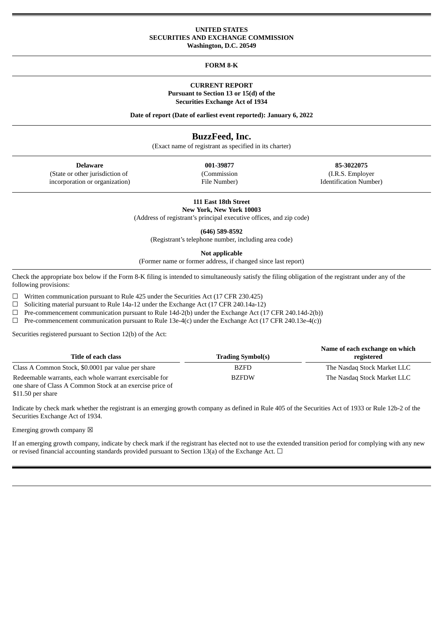## **UNITED STATES SECURITIES AND EXCHANGE COMMISSION Washington, D.C. 20549**

## **FORM 8-K**

## **CURRENT REPORT Pursuant to Section 13 or 15(d) of the Securities Exchange Act of 1934**

**Date of report (Date of earliest event reported): January 6, 2022**

# **BuzzFeed, Inc.**

(Exact name of registrant as specified in its charter)

| <b>Delaware</b> |
|-----------------|

(State or other jurisdiction of incorporation or organization) (Commission File Number)

**Delaware 001-39877 85-3022075** (I.R.S. Employer Identification Number)

**111 East 18th Street New York, New York 10003**

(Address of registrant's principal executive offices, and zip code)

**(646) 589-8592**

(Registrant's telephone number, including area code)

**Not applicable**

(Former name or former address, if changed since last report)

Check the appropriate box below if the Form 8-K filing is intended to simultaneously satisfy the filing obligation of the registrant under any of the following provisions:

 $\Box$  Written communication pursuant to Rule 425 under the Securities Act (17 CFR 230.425)

☐ Soliciting material pursuant to Rule 14a-12 under the Exchange Act (17 CFR 240.14a-12)

 $\Box$  Pre-commencement communication pursuant to Rule 14d-2(b) under the Exchange Act (17 CFR 240.14d-2(b))

 $\Box$  Pre-commencement communication pursuant to Rule 13e-4(c) under the Exchange Act (17 CFR 240.13e-4(c))

Securities registered pursuant to Section 12(b) of the Act:

| Title of each class                                       | <b>Trading Symbol(s)</b> | Name of each exchange on which<br>registered |
|-----------------------------------------------------------|--------------------------|----------------------------------------------|
| Class A Common Stock, \$0.0001 par value per share        | <b>BZFD</b>              | The Nasdag Stock Market LLC                  |
| Redeemable warrants, each whole warrant exercisable for   | <b>BZFDW</b>             | The Nasdaq Stock Market LLC                  |
| one share of Class A Common Stock at an exercise price of |                          |                                              |

\$11.50 per share

Indicate by check mark whether the registrant is an emerging growth company as defined in Rule 405 of the Securities Act of 1933 or Rule 12b-2 of the Securities Exchange Act of 1934.

Emerging growth company  $\boxtimes$ 

If an emerging growth company, indicate by check mark if the registrant has elected not to use the extended transition period for complying with any new or revised financial accounting standards provided pursuant to Section 13(a) of the Exchange Act.  $\Box$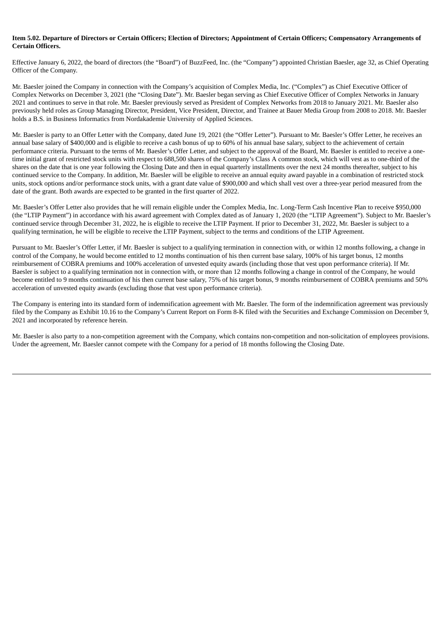## Item 5.02. Departure of Directors or Certain Officers: Election of Directors: Appointment of Certain Officers: Compensatory Arrangements of **Certain Officers.**

Effective January 6, 2022, the board of directors (the "Board") of BuzzFeed, Inc. (the "Company") appointed Christian Baesler, age 32, as Chief Operating Officer of the Company.

Mr. Baesler joined the Company in connection with the Company's acquisition of Complex Media, Inc. ("Complex") as Chief Executive Officer of Complex Networks on December 3, 2021 (the "Closing Date"). Mr. Baesler began serving as Chief Executive Officer of Complex Networks in January 2021 and continues to serve in that role. Mr. Baesler previously served as President of Complex Networks from 2018 to January 2021. Mr. Baesler also previously held roles as Group Managing Director, President, Vice President, Director, and Trainee at Bauer Media Group from 2008 to 2018. Mr. Baesler holds a B.S. in Business Informatics from Nordakademie University of Applied Sciences.

Mr. Baesler is party to an Offer Letter with the Company, dated June 19, 2021 (the "Offer Letter"). Pursuant to Mr. Baesler's Offer Letter, he receives an annual base salary of \$400,000 and is eligible to receive a cash bonus of up to 60% of his annual base salary, subject to the achievement of certain performance criteria. Pursuant to the terms of Mr. Baesler's Offer Letter, and subject to the approval of the Board, Mr. Baesler is entitled to receive a onetime initial grant of restricted stock units with respect to 688,500 shares of the Company's Class A common stock, which will vest as to one-third of the shares on the date that is one year following the Closing Date and then in equal quarterly installments over the next 24 months thereafter, subject to his continued service to the Company. In addition, Mr. Baesler will be eligible to receive an annual equity award payable in a combination of restricted stock units, stock options and/or performance stock units, with a grant date value of \$900,000 and which shall vest over a three-year period measured from the date of the grant. Both awards are expected to be granted in the first quarter of 2022.

Mr. Baesler's Offer Letter also provides that he will remain eligible under the Complex Media, Inc. Long-Term Cash Incentive Plan to receive \$950,000 (the "LTIP Payment") in accordance with his award agreement with Complex dated as of January 1, 2020 (the "LTIP Agreement"). Subject to Mr. Baesler's continued service through December 31, 2022, he is eligible to receive the LTIP Payment. If prior to December 31, 2022, Mr. Baesler is subject to a qualifying termination, he will be eligible to receive the LTIP Payment, subject to the terms and conditions of the LTIP Agreement.

Pursuant to Mr. Baesler's Offer Letter, if Mr. Baesler is subject to a qualifying termination in connection with, or within 12 months following, a change in control of the Company, he would become entitled to 12 months continuation of his then current base salary, 100% of his target bonus, 12 months reimbursement of COBRA premiums and 100% acceleration of unvested equity awards (including those that vest upon performance criteria). If Mr. Baesler is subject to a qualifying termination not in connection with, or more than 12 months following a change in control of the Company, he would become entitled to 9 months continuation of his then current base salary, 75% of his target bonus, 9 months reimbursement of COBRA premiums and 50% acceleration of unvested equity awards (excluding those that vest upon performance criteria).

The Company is entering into its standard form of indemnification agreement with Mr. Baesler. The form of the indemnification agreement was previously filed by the Company as Exhibit 10.16 to the Company's Current Report on Form 8-K filed with the Securities and Exchange Commission on December 9, 2021 and incorporated by reference herein.

Mr. Baesler is also party to a non-competition agreement with the Company, which contains non-competition and non-solicitation of employees provisions. Under the agreement, Mr. Baesler cannot compete with the Company for a period of 18 months following the Closing Date.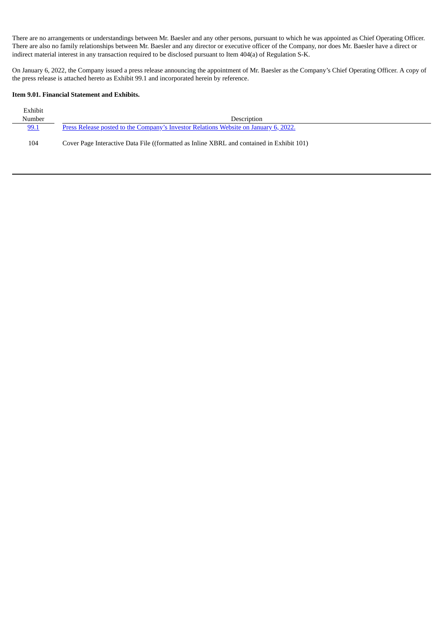There are no arrangements or understandings between Mr. Baesler and any other persons, pursuant to which he was appointed as Chief Operating Officer. There are also no family relationships between Mr. Baesler and any director or executive officer of the Company, nor does Mr. Baesler have a direct or indirect material interest in any transaction required to be disclosed pursuant to Item 404(a) of Regulation S-K.

On January 6, 2022, the Company issued a press release announcing the appointment of Mr. Baesler as the Company's Chief Operating Officer. A copy of the press release is attached hereto as Exhibit 99.1 and incorporated herein by reference.

# **Item 9.01. Financial Statement and Exhibits.**

| Exhibit |                                                                                           |
|---------|-------------------------------------------------------------------------------------------|
| Number  | Description                                                                               |
| 99.1    | Press Release posted to the Company's Investor Relations Website on January 6, 2022.      |
| 104     | Cover Page Interactive Data File ((formatted as Inline XBRL and contained in Exhibit 101) |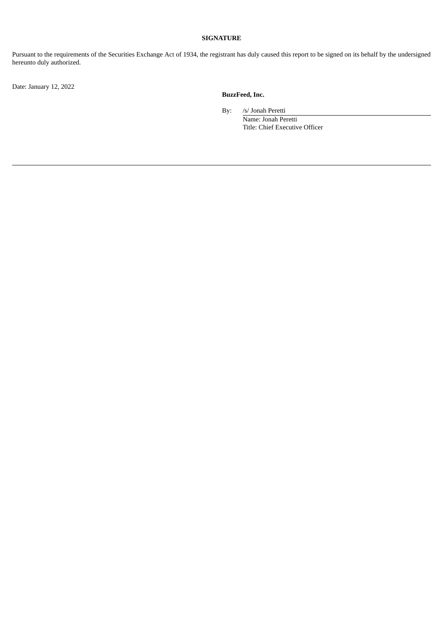# **SIGNATURE**

Pursuant to the requirements of the Securities Exchange Act of 1934, the registrant has duly caused this report to be signed on its behalf by the undersigned hereunto duly authorized.

Date: January 12, 2022

# **BuzzFeed, Inc.**

By: /s/ Jonah Peretti

Name: Jonah Peretti Title: Chief Executive Officer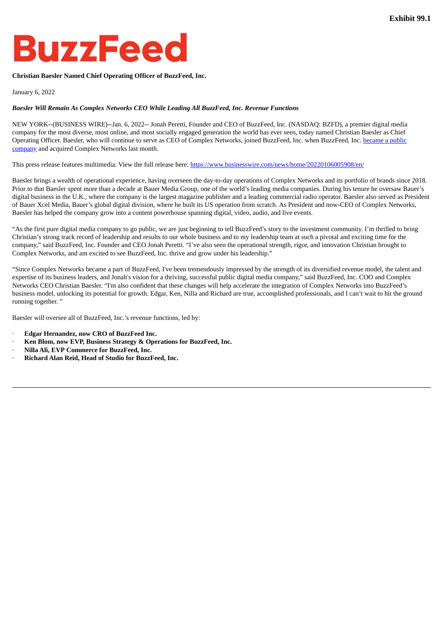# <span id="page-4-0"></span>**BuzzFeed**

# **Christian Baesler Named Chief Operating Officer of BuzzFeed, Inc.**

# January 6, 2022

# *Baesler Will Remain As Complex Networks CEO While Leading All BuzzFeed, Inc. Revenue Functions*

NEW YORK--(BUSINESS WIRE)--Jan. 6, 2022-- Jonah Peretti, Founder and CEO of BuzzFeed, Inc. (NASDAQ: BZFD), a premier digital media company for the most diverse, most online, and most socially engaged generation the world has ever seen, today named Christian Baesler as Chief Operating Officer. Baesler, who will continue to serve as CEO of Complex Networks, joined BuzzFeed, Inc. when BuzzFeed, Inc. became a public company and acquired Complex Networks last month.

This press release features multimedia. View the full release here: https://www.businesswire.com/news/home/20220106005908/en/

Baesler brings a wealth of operational experience, having overseen the day-to-day operations of Complex Networks and its portfolio of brands since 2018. Prior to that Baesler spent more than a decade at Bauer Media Group, one of the world's leading media companies. During his tenure he oversaw Bauer's digital business in the U.K., where the company is the largest magazine publisher and a leading commercial radio operator. Baesler also served as President of Bauer Xcel Media, Bauer's global digital division, where he built its US operation from scratch. As President and now-CEO of Complex Networks, Baesler has helped the company grow into a content powerhouse spanning digital, video, audio, and live events.

"As the first pure digital media company to go public, we are just beginning to tell BuzzFeed's story to the investment community. I'm thrilled to bring Christian's strong track record of leadership and results to our whole business and to my leadership team at such a pivotal and exciting time for the company," said BuzzFeed, Inc. Founder and CEO Jonah Peretti. "I've also seen the operational strength, rigor, and innovation Christian brought to Complex Networks, and am excited to see BuzzFeed, Inc. thrive and grow under his leadership."

"Since Complex Networks became a part of BuzzFeed, I've been tremendously impressed by the strength of its diversified revenue model, the talent and expertise of its business leaders, and Jonah's vision for a thriving, successful public digital media company," said BuzzFeed, Inc. COO and Complex Networks CEO Christian Baesler. "I'm also confident that these changes will help accelerate the integration of Complex Networks into BuzzFeed's business model, unlocking its potential for growth. Edgar, Ken, Nilla and Richard are true, accomplished professionals, and I can't wait to hit the ground running together. "

Baesler will oversee all of BuzzFeed, Inc.'s revenue functions, led by:

- · **Edgar Hernandez, now CRO of BuzzFeed Inc.**
- · **Ken Blom, now EVP, Business Strategy & Operations for BuzzFeed, Inc.**
- · **Nilla Ali, EVP Commerce for BuzzFeed, Inc.**
- · **Richard Alan Reid, Head of Studio for BuzzFeed, Inc.**